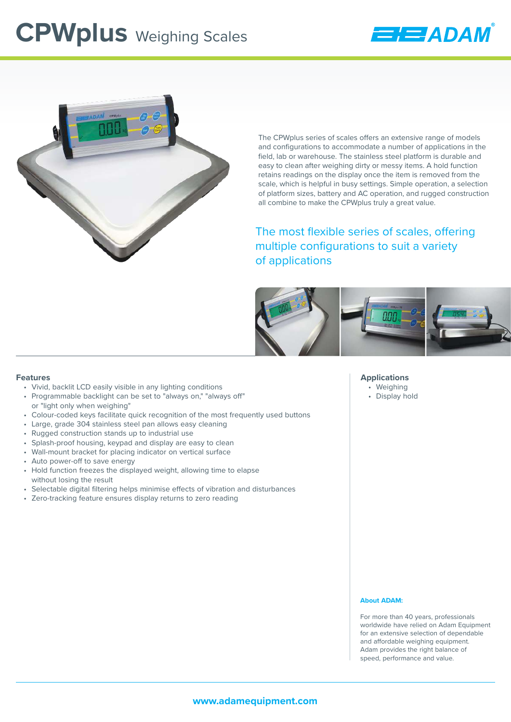## **CPWplus** Weighing Scales





The CPWplus series of scales offers an extensive range of models and configurations to accommodate a number of applications in the field, lab or warehouse. The stainless steel platform is durable and easy to clean after weighing dirty or messy items. A hold function retains readings on the display once the item is removed from the scale, which is helpful in busy settings. Simple operation, a selection of platform sizes, battery and AC operation, and rugged construction all combine to make the CPWplus truly a great value.

The most flexible series of scales, offering multiple configurations to suit a variety of applications



#### **Features**

- Vivid, backlit LCD easily visible in any lighting conditions
- Programmable backlight can be set to "always on," "always off" or "light only when weighing"
- Colour-coded keys facilitate quick recognition of the most frequently used buttons
- Large, grade 304 stainless steel pan allows easy cleaning
- Rugged construction stands up to industrial use
- Splash-proof housing, keypad and display are easy to clean
- Wall-mount bracket for placing indicator on vertical surface
- Auto power-off to save energy
- Hold function freezes the displayed weight, allowing time to elapse without losing the result
- Selectable digital filtering helps minimise effects of vibration and disturbances
- Zero-tracking feature ensures display returns to zero reading

#### **Applications**

- Weighing
- Display hold

#### **About ADAM:**

For more than 40 years, professionals worldwide have relied on Adam Equipment for an extensive selection of dependable and affordable weighing equipment. Adam provides the right balance of speed, performance and value.